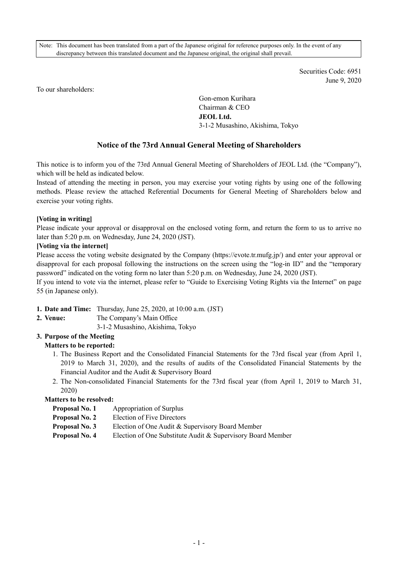Note: This document has been translated from a part of the Japanese original for reference purposes only. In the event of any discrepancy between this translated document and the Japanese original, the original shall prevail.

> Securities Code: 6951 June 9, 2020

To our shareholders:

Gon-emon Kurihara Chairman & CEO **JEOL Ltd.**  3-1-2 Musashino, Akishima, Tokyo

# **Notice of the 73rd Annual General Meeting of Shareholders**

This notice is to inform you of the 73rd Annual General Meeting of Shareholders of JEOL Ltd. (the "Company"), which will be held as indicated below.

Instead of attending the meeting in person, you may exercise your voting rights by using one of the following methods. Please review the attached Referential Documents for General Meeting of Shareholders below and exercise your voting rights.

#### **[Voting in writing]**

Please indicate your approval or disapproval on the enclosed voting form, and return the form to us to arrive no later than 5:20 p.m. on Wednesday, June 24, 2020 (JST).

#### **[Voting via the internet]**

Please access the voting website designated by the Company (https://evote.tr.mufg.jp/) and enter your approval or disapproval for each proposal following the instructions on the screen using the "log-in ID" and the "temporary password" indicated on the voting form no later than 5:20 p.m. on Wednesday, June 24, 2020 (JST).

If you intend to vote via the internet, please refer to "Guide to Exercising Voting Rights via the Internet" on page 55 (in Japanese only).

- **1. Date and Time:** Thursday, June 25, 2020, at 10:00 a.m. (JST)
- **2. Venue:** The Company's Main Office
	- 3-1-2 Musashino, Akishima, Tokyo

## **3. Purpose of the Meeting**

# **Matters to be reported:**

- 1. The Business Report and the Consolidated Financial Statements for the 73rd fiscal year (from April 1, 2019 to March 31, 2020), and the results of audits of the Consolidated Financial Statements by the Financial Auditor and the Audit & Supervisory Board
- 2. The Non-consolidated Financial Statements for the 73rd fiscal year (from April 1, 2019 to March 31, 2020)

## **Matters to be resolved:**

- **Proposal No. 1** Appropriation of Surplus
- **Proposal No. 2** Election of Five Directors
- **Proposal No. 3** Election of One Audit & Supervisory Board Member
- **Proposal No. 4** Election of One Substitute Audit & Supervisory Board Member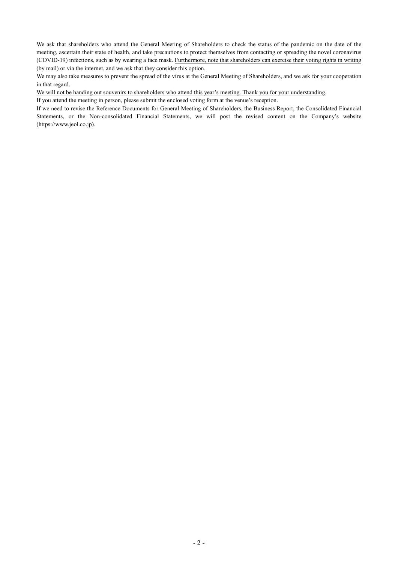We ask that shareholders who attend the General Meeting of Shareholders to check the status of the pandemic on the date of the meeting, ascertain their state of health, and take precautions to protect themselves from contacting or spreading the novel coronavirus (COVID-19) infections, such as by wearing a face mask. Furthermore, note that shareholders can exercise their voting rights in writing (by mail) or via the internet, and we ask that they consider this option.

We may also take measures to prevent the spread of the virus at the General Meeting of Shareholders, and we ask for your cooperation in that regard.

We will not be handing out souvenirs to shareholders who attend this year's meeting. Thank you for your understanding.

If you attend the meeting in person, please submit the enclosed voting form at the venue's reception.

If we need to revise the Reference Documents for General Meeting of Shareholders, the Business Report, the Consolidated Financial Statements, or the Non-consolidated Financial Statements, we will post the revised content on the Company's website (https://www.jeol.co.jp).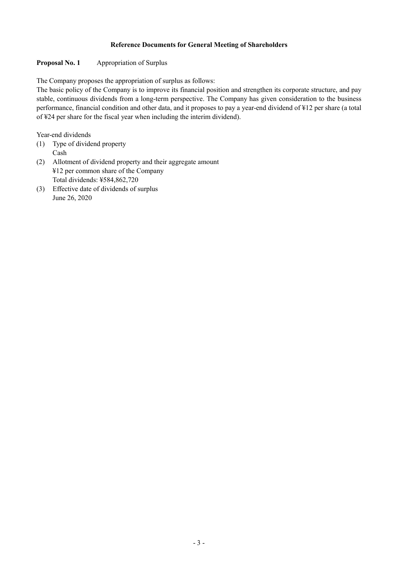## **Reference Documents for General Meeting of Shareholders**

## **Proposal No. 1 Appropriation of Surplus**

The Company proposes the appropriation of surplus as follows:

The basic policy of the Company is to improve its financial position and strengthen its corporate structure, and pay stable, continuous dividends from a long-term perspective. The Company has given consideration to the business performance, financial condition and other data, and it proposes to pay a year-end dividend of ¥12 per share (a total of ¥24 per share for the fiscal year when including the interim dividend).

Year-end dividends

- (1) Type of dividend property Cash
- (2) Allotment of dividend property and their aggregate amount ¥12 per common share of the Company Total dividends: ¥584,862,720
- (3) Effective date of dividends of surplus June 26, 2020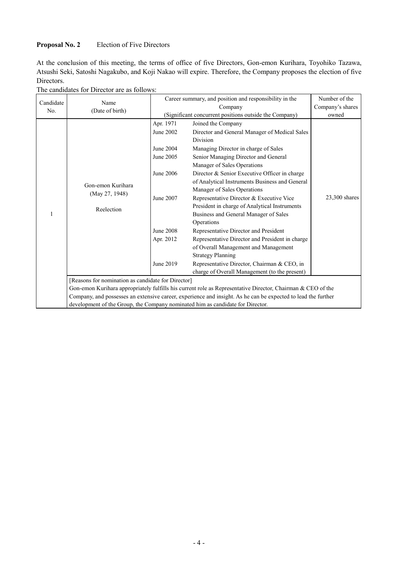## **Proposal No. 2** Election of Five Directors

At the conclusion of this meeting, the terms of office of five Directors, Gon-emon Kurihara, Toyohiko Tazawa, Atsushi Seki, Satoshi Nagakubo, and Koji Nakao will expire. Therefore, the Company proposes the election of five Directors.

| Candidate | Name<br>(Date of birth)                                                                                       | Career summary, and position and responsibility in the<br>Number of the                                           |                                                                                                                                                                                                                                                                                                                                                                                                                                                                                                                                                                                                                                                                                                                                                      |                 |  |  |
|-----------|---------------------------------------------------------------------------------------------------------------|-------------------------------------------------------------------------------------------------------------------|------------------------------------------------------------------------------------------------------------------------------------------------------------------------------------------------------------------------------------------------------------------------------------------------------------------------------------------------------------------------------------------------------------------------------------------------------------------------------------------------------------------------------------------------------------------------------------------------------------------------------------------------------------------------------------------------------------------------------------------------------|-----------------|--|--|
| No.       |                                                                                                               | Company's shares<br>Company                                                                                       |                                                                                                                                                                                                                                                                                                                                                                                                                                                                                                                                                                                                                                                                                                                                                      |                 |  |  |
|           |                                                                                                               | (Significant concurrent positions outside the Company)                                                            | owned                                                                                                                                                                                                                                                                                                                                                                                                                                                                                                                                                                                                                                                                                                                                                |                 |  |  |
|           | Gon-emon Kurihara<br>(May 27, 1948)<br>Reelection                                                             | Apr. 1971<br>June 2002<br>June 2004<br>June 2005<br>June 2006<br>June 2007<br>June 2008<br>Apr. 2012<br>June 2019 | Joined the Company<br>Director and General Manager of Medical Sales<br>Division<br>Managing Director in charge of Sales<br>Senior Managing Director and General<br>Manager of Sales Operations<br>Director & Senior Executive Officer in charge<br>of Analytical Instruments Business and General<br>Manager of Sales Operations<br>Representative Director & Executive Vice<br>President in charge of Analytical Instruments<br>Business and General Manager of Sales<br>Operations<br>Representative Director and President<br>Representative Director and President in charge<br>of Overall Management and Management<br><b>Strategy Planning</b><br>Representative Director, Chairman & CEO, in<br>charge of Overall Management (to the present) | $23,300$ shares |  |  |
|           | [Reasons for nomination as candidate for Director]                                                            |                                                                                                                   |                                                                                                                                                                                                                                                                                                                                                                                                                                                                                                                                                                                                                                                                                                                                                      |                 |  |  |
|           | Gon-emon Kurihara appropriately fulfills his current role as Representative Director, Chairman & CEO of the   |                                                                                                                   |                                                                                                                                                                                                                                                                                                                                                                                                                                                                                                                                                                                                                                                                                                                                                      |                 |  |  |
|           | Company, and possesses an extensive career, experience and insight. As he can be expected to lead the further |                                                                                                                   |                                                                                                                                                                                                                                                                                                                                                                                                                                                                                                                                                                                                                                                                                                                                                      |                 |  |  |
|           | development of the Group, the Company nominated him as candidate for Director.                                |                                                                                                                   |                                                                                                                                                                                                                                                                                                                                                                                                                                                                                                                                                                                                                                                                                                                                                      |                 |  |  |

# The candidates for Director are as follows: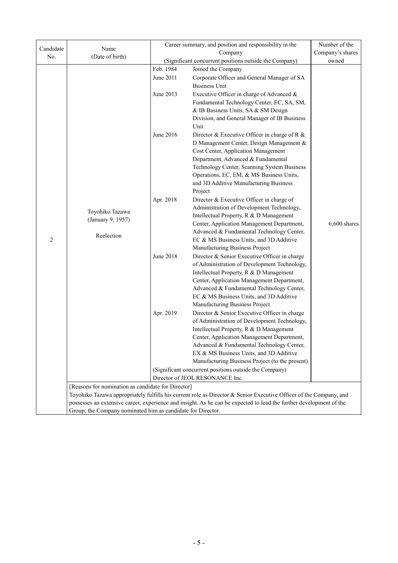| Candidate | Name                                                                                                                | Career summary, and position and responsibility in the | Number of the                                                                                                      |                |  |
|-----------|---------------------------------------------------------------------------------------------------------------------|--------------------------------------------------------|--------------------------------------------------------------------------------------------------------------------|----------------|--|
| No.       | (Date of birth)                                                                                                     |                                                        | Company's shares                                                                                                   |                |  |
|           |                                                                                                                     | (Significant concurrent positions outside the Company) | owned                                                                                                              |                |  |
|           |                                                                                                                     | Feb. 1984                                              | Joined the Company                                                                                                 |                |  |
|           |                                                                                                                     | June 2011                                              | Corporate Officer and General Manager of SA                                                                        |                |  |
|           |                                                                                                                     |                                                        | <b>Business Unit</b>                                                                                               |                |  |
|           |                                                                                                                     | June 2013                                              | Executive Officer in charge of Advanced &                                                                          |                |  |
|           |                                                                                                                     |                                                        | Fundamental Technology Center, EC, SA, SM,                                                                         |                |  |
|           |                                                                                                                     |                                                        | & IB Business Units, SA & SM Design                                                                                |                |  |
|           |                                                                                                                     |                                                        | Division, and General Manager of IB Business                                                                       |                |  |
|           |                                                                                                                     |                                                        | Unit                                                                                                               |                |  |
|           |                                                                                                                     | June 2016                                              | Director & Executive Officer in charge of R &                                                                      |                |  |
|           |                                                                                                                     |                                                        | D Management Center, Design Management &                                                                           |                |  |
|           |                                                                                                                     |                                                        | Cost Center, Application Management                                                                                |                |  |
|           |                                                                                                                     |                                                        | Department, Advanced & Fundamental                                                                                 |                |  |
|           |                                                                                                                     |                                                        | Technology Center, Scanning System Business<br>Operations, EC, EM, & MS Business Units,                            |                |  |
|           |                                                                                                                     |                                                        | and 3D Additive Manufacturing Business                                                                             |                |  |
|           |                                                                                                                     |                                                        | Project                                                                                                            |                |  |
|           |                                                                                                                     | Apr. 2018                                              | Director & Executive Officer in charge of                                                                          |                |  |
|           |                                                                                                                     |                                                        | Administration of Development Technology,                                                                          |                |  |
|           | Toyohiko Tazawa                                                                                                     |                                                        | Intellectual Property, R & D Management                                                                            |                |  |
|           | (January 9, 1957)                                                                                                   |                                                        | Center, Application Management Department,                                                                         | $6,600$ shares |  |
|           |                                                                                                                     |                                                        | Advanced & Fundamental Technology Center,                                                                          |                |  |
| 2         | Reelection                                                                                                          |                                                        | EC & MS Business Units, and 3D Additive                                                                            |                |  |
|           |                                                                                                                     |                                                        | Manufacturing Business Project                                                                                     |                |  |
|           |                                                                                                                     | June 2018                                              | Director & Senior Executive Officer in charge                                                                      |                |  |
|           |                                                                                                                     |                                                        | of Administration of Development Technology,                                                                       |                |  |
|           |                                                                                                                     |                                                        | Intellectual Property, R & D Management                                                                            |                |  |
|           |                                                                                                                     |                                                        | Center, Application Management Department,                                                                         |                |  |
|           |                                                                                                                     |                                                        | Advanced & Fundamental Technology Center,                                                                          |                |  |
|           |                                                                                                                     |                                                        | EC & MS Business Units, and 3D Additive                                                                            |                |  |
|           |                                                                                                                     |                                                        | Manufacturing Business Project                                                                                     |                |  |
|           |                                                                                                                     | Apr. 2019                                              | Director & Senior Executive Officer in charge                                                                      |                |  |
|           |                                                                                                                     |                                                        | of Administration of Development Technology,                                                                       |                |  |
|           |                                                                                                                     |                                                        | Intellectual Property, R & D Management<br>Center, Application Management Department,                              |                |  |
|           |                                                                                                                     |                                                        | Advanced & Fundamental Technology Center,                                                                          |                |  |
|           |                                                                                                                     |                                                        | EX & MS Business Units, and 3D Additive                                                                            |                |  |
|           |                                                                                                                     |                                                        | Manufacturing Business Project (to the present)                                                                    |                |  |
|           |                                                                                                                     | (Significant concurrent positions outside the Company) |                                                                                                                    |                |  |
|           |                                                                                                                     | Director of JEOL RESONANCE Inc.                        |                                                                                                                    |                |  |
|           | [Reasons for nomination as candidate for Director]                                                                  |                                                        |                                                                                                                    |                |  |
|           |                                                                                                                     |                                                        | Toyohiko Tazawa appropriately fulfills his current role as Director & Senior Executive Officer of the Company, and |                |  |
|           | possesses an extensive career, experience and insight. As he can be expected to lead the further development of the |                                                        |                                                                                                                    |                |  |
|           | Group, the Company nominated him as candidate for Director.                                                         |                                                        |                                                                                                                    |                |  |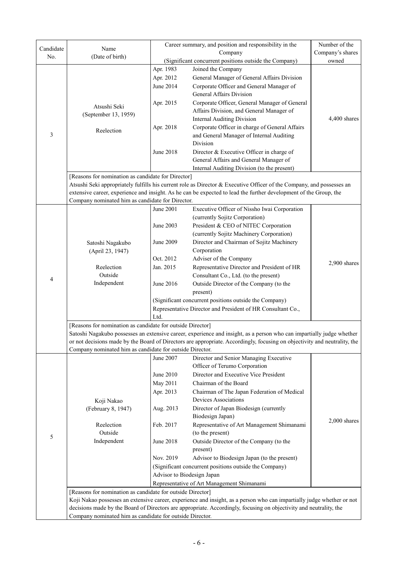| Candidate                                                  | Name                                                                                                                      | Career summary, and position and responsibility in the | Number of the                                                                                                         |                |  |  |
|------------------------------------------------------------|---------------------------------------------------------------------------------------------------------------------------|--------------------------------------------------------|-----------------------------------------------------------------------------------------------------------------------|----------------|--|--|
| No.                                                        | (Date of birth)                                                                                                           |                                                        | Company's shares                                                                                                      |                |  |  |
|                                                            |                                                                                                                           |                                                        | (Significant concurrent positions outside the Company)                                                                | owned          |  |  |
|                                                            |                                                                                                                           | Apr. 1983                                              | Joined the Company                                                                                                    |                |  |  |
|                                                            |                                                                                                                           | Apr. 2012                                              | General Manager of General Affairs Division                                                                           |                |  |  |
|                                                            |                                                                                                                           | June 2014                                              | Corporate Officer and General Manager of                                                                              |                |  |  |
|                                                            |                                                                                                                           |                                                        | <b>General Affairs Division</b>                                                                                       |                |  |  |
|                                                            | Atsushi Seki                                                                                                              | Apr. 2015                                              | Corporate Officer, General Manager of General                                                                         |                |  |  |
|                                                            | (September 13, 1959)                                                                                                      |                                                        | Affairs Division, and General Manager of                                                                              |                |  |  |
|                                                            |                                                                                                                           |                                                        | <b>Internal Auditing Division</b>                                                                                     | 4,400 shares   |  |  |
|                                                            | Reelection                                                                                                                | Apr. 2018                                              | Corporate Officer in charge of General Affairs                                                                        |                |  |  |
| 3                                                          |                                                                                                                           |                                                        | and General Manager of Internal Auditing                                                                              |                |  |  |
|                                                            |                                                                                                                           |                                                        | Division                                                                                                              |                |  |  |
|                                                            |                                                                                                                           | June 2018                                              | Director & Executive Officer in charge of                                                                             |                |  |  |
|                                                            |                                                                                                                           |                                                        | General Affairs and General Manager of                                                                                |                |  |  |
|                                                            |                                                                                                                           |                                                        | Internal Auditing Division (to the present)                                                                           |                |  |  |
|                                                            | [Reasons for nomination as candidate for Director]                                                                        |                                                        |                                                                                                                       |                |  |  |
|                                                            |                                                                                                                           |                                                        | Atsushi Seki appropriately fulfills his current role as Director & Executive Officer of the Company, and possesses an |                |  |  |
|                                                            | Company nominated him as candidate for Director.                                                                          |                                                        | extensive career, experience and insight. As he can be expected to lead the further development of the Group, the     |                |  |  |
|                                                            |                                                                                                                           | June 2001                                              | Executive Officer of Nissho Iwai Corporation                                                                          |                |  |  |
|                                                            |                                                                                                                           |                                                        | (currently Sojitz Corporation)                                                                                        |                |  |  |
|                                                            |                                                                                                                           | June 2003                                              | President & CEO of NITEC Corporation                                                                                  |                |  |  |
|                                                            |                                                                                                                           |                                                        | (currently Sojitz Machinery Corporation)                                                                              |                |  |  |
|                                                            |                                                                                                                           | June 2009                                              | Director and Chairman of Sojitz Machinery                                                                             |                |  |  |
|                                                            | Satoshi Nagakubo<br>(April 23, 1947)                                                                                      |                                                        | Corporation                                                                                                           |                |  |  |
|                                                            |                                                                                                                           | Oct. 2012                                              | Adviser of the Company                                                                                                |                |  |  |
|                                                            | Reelection                                                                                                                | Jan. 2015                                              | Representative Director and President of HR                                                                           | 2,900 shares   |  |  |
|                                                            | Outside                                                                                                                   |                                                        | Consultant Co., Ltd. (to the present)                                                                                 |                |  |  |
| 4                                                          | Independent                                                                                                               | June 2016                                              | Outside Director of the Company (to the                                                                               |                |  |  |
|                                                            |                                                                                                                           |                                                        | present)                                                                                                              |                |  |  |
|                                                            |                                                                                                                           |                                                        | (Significant concurrent positions outside the Company)                                                                |                |  |  |
|                                                            |                                                                                                                           |                                                        | Representative Director and President of HR Consultant Co.,                                                           |                |  |  |
|                                                            |                                                                                                                           | Ltd.                                                   |                                                                                                                       |                |  |  |
|                                                            | [Reasons for nomination as candidate for outside Director]                                                                |                                                        |                                                                                                                       |                |  |  |
|                                                            | Satoshi Nagakubo possesses an extensive career, experience and insight, as a person who can impartially judge whether     |                                                        |                                                                                                                       |                |  |  |
|                                                            | or not decisions made by the Board of Directors are appropriate. Accordingly, focusing on objectivity and neutrality, the |                                                        |                                                                                                                       |                |  |  |
|                                                            | Company nominated him as candidate for outside Director.                                                                  |                                                        |                                                                                                                       |                |  |  |
|                                                            |                                                                                                                           | June 2007                                              | Director and Senior Managing Executive                                                                                |                |  |  |
|                                                            |                                                                                                                           |                                                        | Officer of Terumo Corporation                                                                                         |                |  |  |
|                                                            |                                                                                                                           | June 2010                                              | Director and Executive Vice President                                                                                 |                |  |  |
|                                                            |                                                                                                                           | May 2011                                               | Chairman of the Board                                                                                                 |                |  |  |
|                                                            |                                                                                                                           | Apr. 2013                                              | Chairman of The Japan Federation of Medical                                                                           |                |  |  |
|                                                            | Koji Nakao                                                                                                                |                                                        | Devices Associations                                                                                                  |                |  |  |
|                                                            | (February 8, 1947)                                                                                                        | Aug. 2013                                              | Director of Japan Biodesign (currently                                                                                |                |  |  |
|                                                            |                                                                                                                           |                                                        | Biodesign Japan)                                                                                                      | $2,000$ shares |  |  |
|                                                            | Reelection                                                                                                                | Feb. 2017                                              | Representative of Art Management Shimanami                                                                            |                |  |  |
| 5                                                          | Outside                                                                                                                   |                                                        | (to the present)                                                                                                      |                |  |  |
|                                                            | Independent                                                                                                               | June 2018                                              | Outside Director of the Company (to the                                                                               |                |  |  |
|                                                            |                                                                                                                           |                                                        | present)                                                                                                              |                |  |  |
|                                                            |                                                                                                                           | Nov. 2019                                              | Advisor to Biodesign Japan (to the present)                                                                           |                |  |  |
|                                                            |                                                                                                                           | (Significant concurrent positions outside the Company) |                                                                                                                       |                |  |  |
|                                                            | Advisor to Biodesign Japan                                                                                                |                                                        |                                                                                                                       |                |  |  |
|                                                            |                                                                                                                           |                                                        | Representative of Art Management Shimanami                                                                            |                |  |  |
| [Reasons for nomination as candidate for outside Director] |                                                                                                                           |                                                        |                                                                                                                       |                |  |  |
|                                                            | Koji Nakao possesses an extensive career, experience and insight, as a person who can impartially judge whether or not    |                                                        |                                                                                                                       |                |  |  |
|                                                            | decisions made by the Board of Directors are appropriate. Accordingly, focusing on objectivity and neutrality, the        |                                                        |                                                                                                                       |                |  |  |
|                                                            | Company nominated him as candidate for outside Director.                                                                  |                                                        |                                                                                                                       |                |  |  |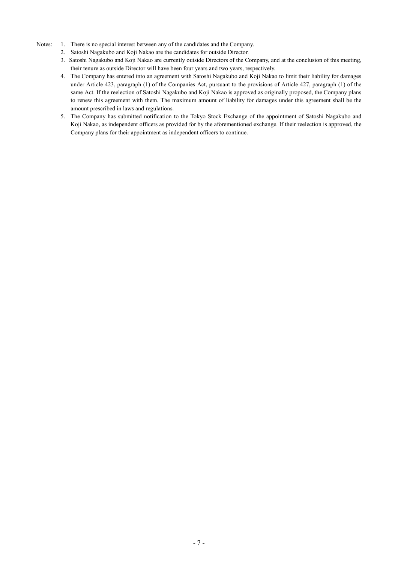- Notes: 1. There is no special interest between any of the candidates and the Company.
	- 2. Satoshi Nagakubo and Koji Nakao are the candidates for outside Director.
	- 3. Satoshi Nagakubo and Koji Nakao are currently outside Directors of the Company, and at the conclusion of this meeting, their tenure as outside Director will have been four years and two years, respectively.
	- 4. The Company has entered into an agreement with Satoshi Nagakubo and Koji Nakao to limit their liability for damages under Article 423, paragraph (1) of the Companies Act, pursuant to the provisions of Article 427, paragraph (1) of the same Act. If the reelection of Satoshi Nagakubo and Koji Nakao is approved as originally proposed, the Company plans to renew this agreement with them. The maximum amount of liability for damages under this agreement shall be the amount prescribed in laws and regulations.
	- 5. The Company has submitted notification to the Tokyo Stock Exchange of the appointment of Satoshi Nagakubo and Koji Nakao, as independent officers as provided for by the aforementioned exchange. If their reelection is approved, the Company plans for their appointment as independent officers to continue.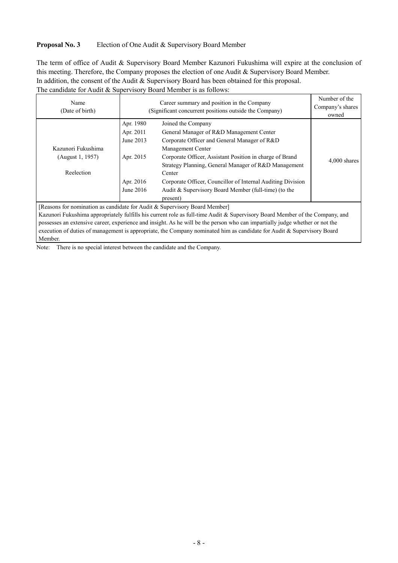#### **Proposal No. 3** Election of One Audit & Supervisory Board Member

The term of office of Audit & Supervisory Board Member Kazunori Fukushima will expire at the conclusion of this meeting. Therefore, the Company proposes the election of one Audit & Supervisory Board Member. In addition, the consent of the Audit & Supervisory Board has been obtained for this proposal. The candidate for Audit & Supervisory Board Member is as follows:

| Name<br>(Date of birth)                                                                                                                                                                                   | (Significant concurrent positions outside the Company)                     | Number of the<br>Company's shares<br>owned                                                                                                                                                                                                                                                                                                                                                           |                |
|-----------------------------------------------------------------------------------------------------------------------------------------------------------------------------------------------------------|----------------------------------------------------------------------------|------------------------------------------------------------------------------------------------------------------------------------------------------------------------------------------------------------------------------------------------------------------------------------------------------------------------------------------------------------------------------------------------------|----------------|
| Kazunori Fukushima<br>(August 1, 1957)<br>Reelection                                                                                                                                                      | Apr. 1980<br>Apr. 2011<br>June 2013<br>Apr. 2015<br>Apr. 2016<br>June 2016 | Joined the Company<br>General Manager of R&D Management Center<br>Corporate Officer and General Manager of R&D<br>Management Center<br>Corporate Officer, Assistant Position in charge of Brand<br>Strategy Planning, General Manager of R&D Management<br>Center<br>Corporate Officer, Councillor of Internal Auditing Division<br>Audit & Supervisory Board Member (full-time) (to the<br>present) | $4,000$ shares |
| [Reasons for nomination as candidate for Audit & Supervisory Board Member]<br>Kazunori Fukushima appropriately fulfills his current role as full-time Audit & Supervisory Roard Member of the Company and |                                                                            |                                                                                                                                                                                                                                                                                                                                                                                                      |                |

ma appropriately fulfills his current role as full-time Audit & Supervisory Board Member of the Company, and possesses an extensive career, experience and insight. As he will be the person who can impartially judge whether or not the execution of duties of management is appropriate, the Company nominated him as candidate for Audit & Supervisory Board Member.

Note: There is no special interest between the candidate and the Company.